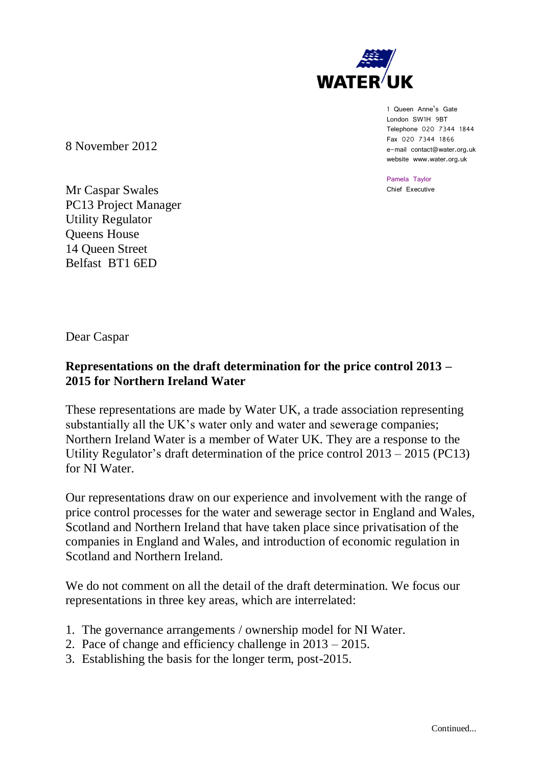

1 Queen Anne's Gate London SW1H 9BT Telephone 020 7344 1844 Fax 020 7344 1866 e-mail contact@water.org.uk website www.water.org.uk

Pamela Taylor Chief Executive

8 November 2012

Mr Caspar Swales PC13 Project Manager Utility Regulator Queens House 14 Queen Street Belfast BT1 6ED

Dear Caspar

# **Representations on the draft determination for the price control 2013 – 2015 for Northern Ireland Water**

These representations are made by Water UK, a trade association representing substantially all the UK's water only and water and sewerage companies; Northern Ireland Water is a member of Water UK. They are a response to the Utility Regulator's draft determination of the price control 2013 – 2015 (PC13) for NI Water.

Our representations draw on our experience and involvement with the range of price control processes for the water and sewerage sector in England and Wales, Scotland and Northern Ireland that have taken place since privatisation of the companies in England and Wales, and introduction of economic regulation in Scotland and Northern Ireland.

We do not comment on all the detail of the draft determination. We focus our representations in three key areas, which are interrelated:

- 1. The governance arrangements / ownership model for NI Water.
- 2. Pace of change and efficiency challenge in 2013 2015.
- 3. Establishing the basis for the longer term, post-2015.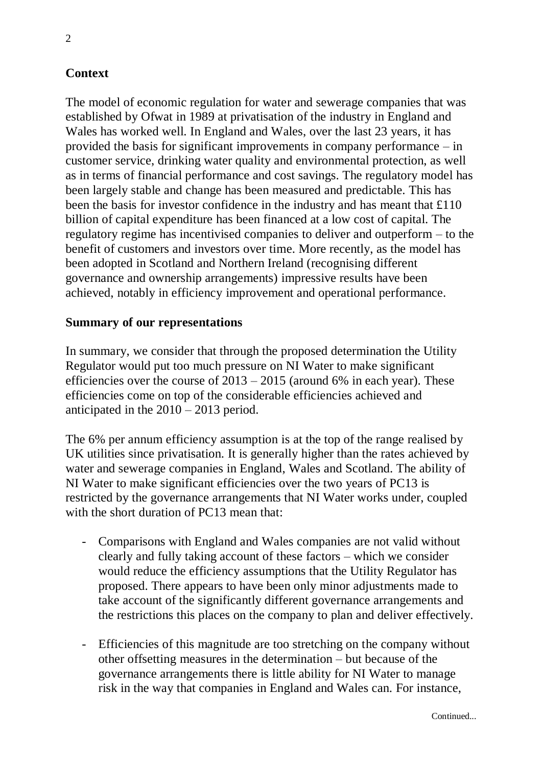# **Context**

The model of economic regulation for water and sewerage companies that was established by Ofwat in 1989 at privatisation of the industry in England and Wales has worked well. In England and Wales, over the last 23 years, it has provided the basis for significant improvements in company performance – in customer service, drinking water quality and environmental protection, as well as in terms of financial performance and cost savings. The regulatory model has been largely stable and change has been measured and predictable. This has been the basis for investor confidence in the industry and has meant that £110 billion of capital expenditure has been financed at a low cost of capital. The regulatory regime has incentivised companies to deliver and outperform – to the benefit of customers and investors over time. More recently, as the model has been adopted in Scotland and Northern Ireland (recognising different governance and ownership arrangements) impressive results have been achieved, notably in efficiency improvement and operational performance.

#### **Summary of our representations**

In summary, we consider that through the proposed determination the Utility Regulator would put too much pressure on NI Water to make significant efficiencies over the course of  $2013 - 2015$  (around 6% in each year). These efficiencies come on top of the considerable efficiencies achieved and anticipated in the 2010 – 2013 period.

The 6% per annum efficiency assumption is at the top of the range realised by UK utilities since privatisation. It is generally higher than the rates achieved by water and sewerage companies in England, Wales and Scotland. The ability of NI Water to make significant efficiencies over the two years of PC13 is restricted by the governance arrangements that NI Water works under, coupled with the short duration of PC13 mean that:

- Comparisons with England and Wales companies are not valid without clearly and fully taking account of these factors – which we consider would reduce the efficiency assumptions that the Utility Regulator has proposed. There appears to have been only minor adjustments made to take account of the significantly different governance arrangements and the restrictions this places on the company to plan and deliver effectively.
- Efficiencies of this magnitude are too stretching on the company without other offsetting measures in the determination – but because of the governance arrangements there is little ability for NI Water to manage risk in the way that companies in England and Wales can. For instance,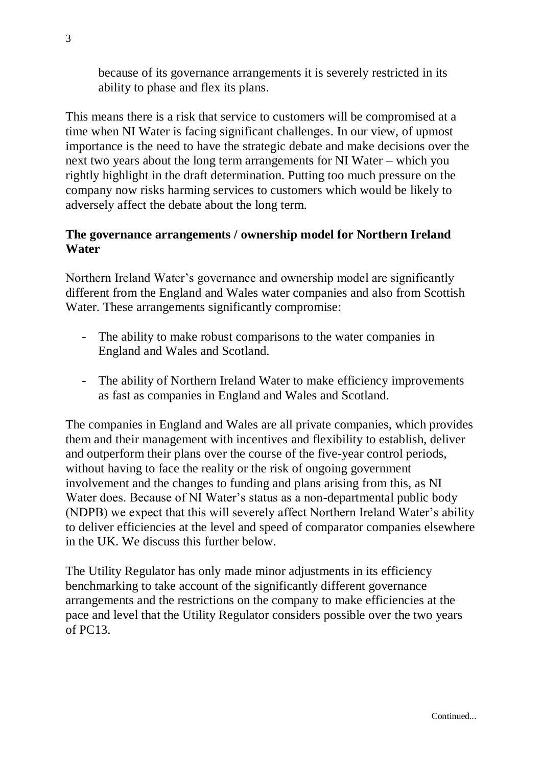because of its governance arrangements it is severely restricted in its ability to phase and flex its plans.

This means there is a risk that service to customers will be compromised at a time when NI Water is facing significant challenges. In our view, of upmost importance is the need to have the strategic debate and make decisions over the next two years about the long term arrangements for NI Water – which you rightly highlight in the draft determination. Putting too much pressure on the company now risks harming services to customers which would be likely to adversely affect the debate about the long term.

### **The governance arrangements / ownership model for Northern Ireland Water**

Northern Ireland Water's governance and ownership model are significantly different from the England and Wales water companies and also from Scottish Water. These arrangements significantly compromise:

- The ability to make robust comparisons to the water companies in England and Wales and Scotland.
- The ability of Northern Ireland Water to make efficiency improvements as fast as companies in England and Wales and Scotland.

The companies in England and Wales are all private companies, which provides them and their management with incentives and flexibility to establish, deliver and outperform their plans over the course of the five-year control periods, without having to face the reality or the risk of ongoing government involvement and the changes to funding and plans arising from this, as NI Water does. Because of NI Water's status as a non-departmental public body (NDPB) we expect that this will severely affect Northern Ireland Water's ability to deliver efficiencies at the level and speed of comparator companies elsewhere in the UK. We discuss this further below.

The Utility Regulator has only made minor adjustments in its efficiency benchmarking to take account of the significantly different governance arrangements and the restrictions on the company to make efficiencies at the pace and level that the Utility Regulator considers possible over the two years of PC13.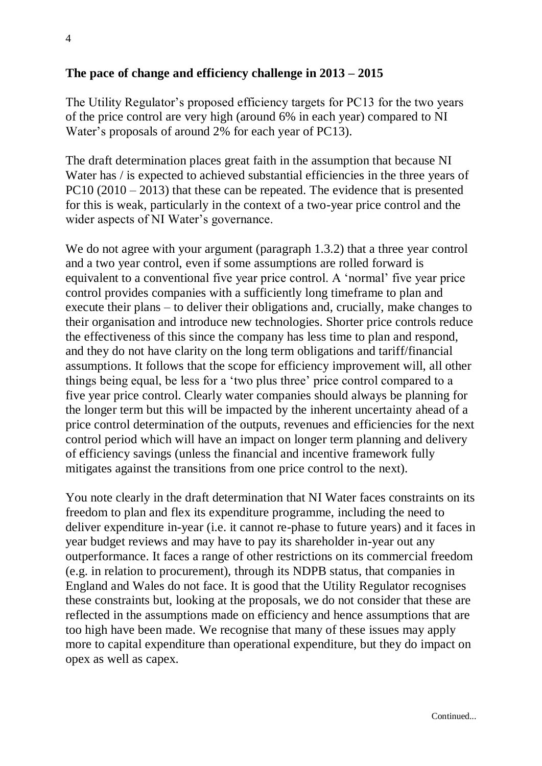### **The pace of change and efficiency challenge in 2013 – 2015**

The Utility Regulator's proposed efficiency targets for PC13 for the two years of the price control are very high (around 6% in each year) compared to NI Water's proposals of around 2% for each year of PC13).

The draft determination places great faith in the assumption that because NI Water has / is expected to achieved substantial efficiencies in the three years of  $PC10 (2010 – 2013)$  that these can be repeated. The evidence that is presented for this is weak, particularly in the context of a two-year price control and the wider aspects of NI Water's governance.

We do not agree with your argument (paragraph 1.3.2) that a three year control and a two year control, even if some assumptions are rolled forward is equivalent to a conventional five year price control. A 'normal' five year price control provides companies with a sufficiently long timeframe to plan and execute their plans – to deliver their obligations and, crucially, make changes to their organisation and introduce new technologies. Shorter price controls reduce the effectiveness of this since the company has less time to plan and respond, and they do not have clarity on the long term obligations and tariff/financial assumptions. It follows that the scope for efficiency improvement will, all other things being equal, be less for a 'two plus three' price control compared to a five year price control. Clearly water companies should always be planning for the longer term but this will be impacted by the inherent uncertainty ahead of a price control determination of the outputs, revenues and efficiencies for the next control period which will have an impact on longer term planning and delivery of efficiency savings (unless the financial and incentive framework fully mitigates against the transitions from one price control to the next).

You note clearly in the draft determination that NI Water faces constraints on its freedom to plan and flex its expenditure programme, including the need to deliver expenditure in-year (i.e. it cannot re-phase to future years) and it faces in year budget reviews and may have to pay its shareholder in-year out any outperformance. It faces a range of other restrictions on its commercial freedom (e.g. in relation to procurement), through its NDPB status, that companies in England and Wales do not face. It is good that the Utility Regulator recognises these constraints but, looking at the proposals, we do not consider that these are reflected in the assumptions made on efficiency and hence assumptions that are too high have been made. We recognise that many of these issues may apply more to capital expenditure than operational expenditure, but they do impact on opex as well as capex.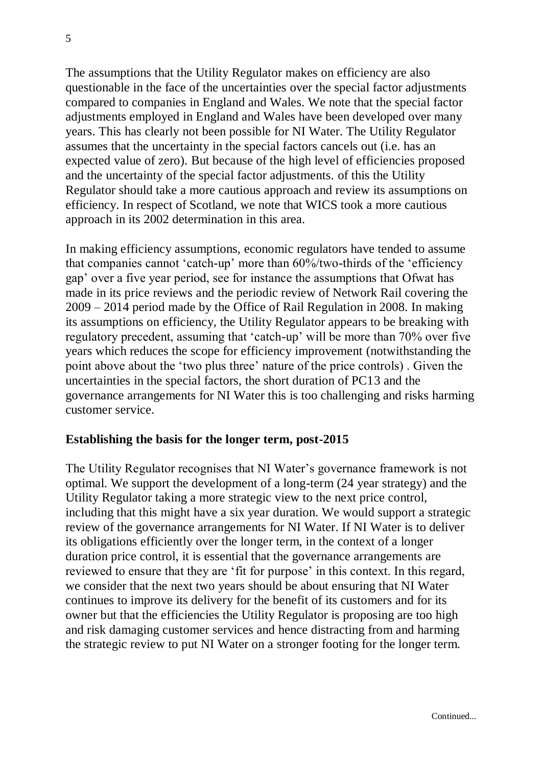The assumptions that the Utility Regulator makes on efficiency are also questionable in the face of the uncertainties over the special factor adjustments compared to companies in England and Wales. We note that the special factor adjustments employed in England and Wales have been developed over many years. This has clearly not been possible for NI Water. The Utility Regulator assumes that the uncertainty in the special factors cancels out (i.e. has an expected value of zero). But because of the high level of efficiencies proposed and the uncertainty of the special factor adjustments. of this the Utility Regulator should take a more cautious approach and review its assumptions on efficiency. In respect of Scotland, we note that WICS took a more cautious approach in its 2002 determination in this area.

In making efficiency assumptions, economic regulators have tended to assume that companies cannot 'catch-up' more than 60%/two-thirds of the 'efficiency gap' over a five year period, see for instance the assumptions that Ofwat has made in its price reviews and the periodic review of Network Rail covering the 2009 – 2014 period made by the Office of Rail Regulation in 2008. In making its assumptions on efficiency, the Utility Regulator appears to be breaking with regulatory precedent, assuming that 'catch-up' will be more than 70% over five years which reduces the scope for efficiency improvement (notwithstanding the point above about the 'two plus three' nature of the price controls) . Given the uncertainties in the special factors, the short duration of PC13 and the governance arrangements for NI Water this is too challenging and risks harming customer service.

#### **Establishing the basis for the longer term, post-2015**

The Utility Regulator recognises that NI Water's governance framework is not optimal. We support the development of a long-term (24 year strategy) and the Utility Regulator taking a more strategic view to the next price control, including that this might have a six year duration. We would support a strategic review of the governance arrangements for NI Water. If NI Water is to deliver its obligations efficiently over the longer term, in the context of a longer duration price control, it is essential that the governance arrangements are reviewed to ensure that they are 'fit for purpose' in this context. In this regard, we consider that the next two years should be about ensuring that NI Water continues to improve its delivery for the benefit of its customers and for its owner but that the efficiencies the Utility Regulator is proposing are too high and risk damaging customer services and hence distracting from and harming the strategic review to put NI Water on a stronger footing for the longer term.